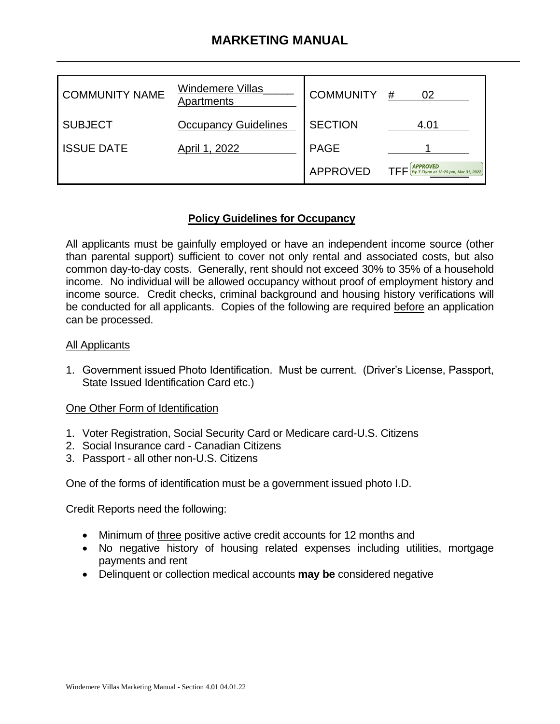# **MARKETING MANUAL**

| <b>COMMUNITY NAME</b> | Windemere Villas<br>Apartments | <b>COMMUNITY</b> | #<br>02                                                 |
|-----------------------|--------------------------------|------------------|---------------------------------------------------------|
| <b>SUBJECT</b>        | <b>Occupancy Guidelines</b>    | <b>SECTION</b>   | 4.01                                                    |
| <b>ISSUE DATE</b>     | April 1, 2022                  | <b>PAGE</b>      |                                                         |
|                       |                                | <b>APPROVED</b>  | <b>APPROVED</b><br>By T Flynn at 12:29 pm, Mar 31, 2022 |

### **Policy Guidelines for Occupancy**

All applicants must be gainfully employed or have an independent income source (other than parental support) sufficient to cover not only rental and associated costs, but also common day-to-day costs. Generally, rent should not exceed 30% to 35% of a household income. No individual will be allowed occupancy without proof of employment history and income source. Credit checks, criminal background and housing history verifications will be conducted for all applicants. Copies of the following are required before an application can be processed.

#### All Applicants

1. Government issued Photo Identification. Must be current. (Driver's License, Passport, State Issued Identification Card etc.)

### One Other Form of Identification

- 1. Voter Registration, Social Security Card or Medicare card-U.S. Citizens
- 2. Social Insurance card Canadian Citizens
- 3. Passport all other non-U.S. Citizens

One of the forms of identification must be a government issued photo I.D.

Credit Reports need the following:

- Minimum of three positive active credit accounts for 12 months and
- No negative history of housing related expenses including utilities, mortgage payments and rent
- Delinquent or collection medical accounts **may be** considered negative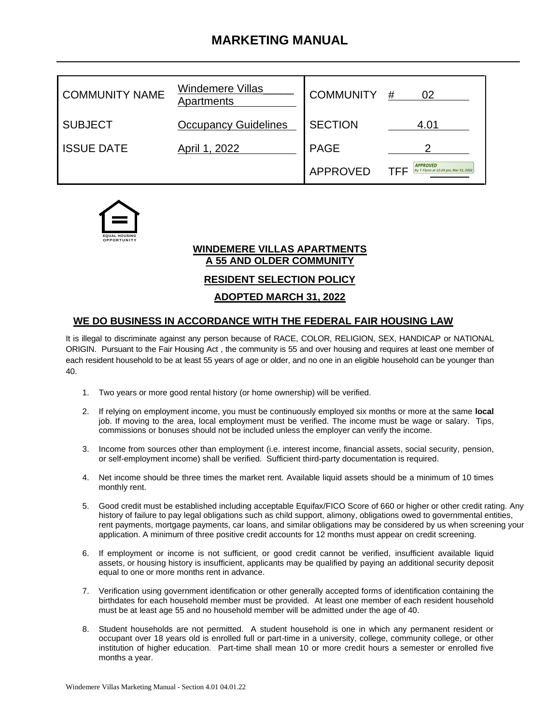# **MARKETING MANUAL**

| <b>COMMUNITY NAME</b> | <b>Windemere Villas</b><br>Apartments | <b>COMMUNITY</b> | #<br>02                                                 |
|-----------------------|---------------------------------------|------------------|---------------------------------------------------------|
| <b>SUBJECT</b>        | <b>Occupancy Guidelines</b>           | <b>SECTION</b>   | 4.01                                                    |
| <b>ISSUE DATE</b>     | April 1, 2022                         | <b>PAGE</b>      |                                                         |
|                       |                                       | <b>APPROVED</b>  | <b>APPROVED</b><br>By T Flynn at 12:29 pm, Mar 31, 2022 |



### **WINDEMERE VILLAS APARTMENTS A 55 AND OLDER COMMUNITY**

**RESIDENT SELECTION POLICY**

**ADOPTED MARCH 31, 2022**

#### **WE DO BUSINESS IN ACCORDANCE WITH THE FEDERAL FAIR HOUSING LAW**

It is illegal to discriminate against any person because of RACE, COLOR, RELIGION, SEX, HANDICAP or NATIONAL ORIGIN. Pursuant to the Fair Housing Act , the community is 55 and over housing and requires at least one member of each resident household to be at least 55 years of age or older, and no one in an eligible household can be younger than 40.

- 1. Two years or more good rental history (or home ownership) will be verified.
- 2. If relying on employment income, you must be continuously employed six months or more at the same **local** job. If moving to the area, local employment must be verified. The income must be wage or salary. Tips, commissions or bonuses should not be included unless the employer can verify the income.
- 3. Income from sources other than employment (i.e. interest income, financial assets, social security, pension, or self-employment income) shall be verified. Sufficient third-party documentation is required.
- 4. Net income should be three times the market rent. Available liquid assets should be a minimum of 10 times monthly rent.
- 5. Good credit must be established including acceptable Equifax/FICO Score of 660 or higher or other credit rating. Any history of failure to pay legal obligations such as child support, alimony, obligations owed to governmental entities, rent payments, mortgage payments, car loans, and similar obligations may be considered by us when screening your application. A minimum of three positive credit accounts for 12 months must appear on credit screening.
- 6. If employment or income is not sufficient, or good credit cannot be verified, insufficient available liquid assets, or housing history is insufficient, applicants may be qualified by paying an additional security deposit equal to one or more months rent in advance.
- 7. Verification using government identification or other generally accepted forms of identification containing the birthdates for each household member must be provided. At least one member of each resident household must be at least age 55 and no household member will be admitted under the age of 40.
- 8. Student households are not permitted. A student household is one in which any permanent resident or occupant over 18 years old is enrolled full or part-time in a university, college, community college, or other institution of higher education. Part-time shall mean 10 or more credit hours a semester or enrolled five months a year.